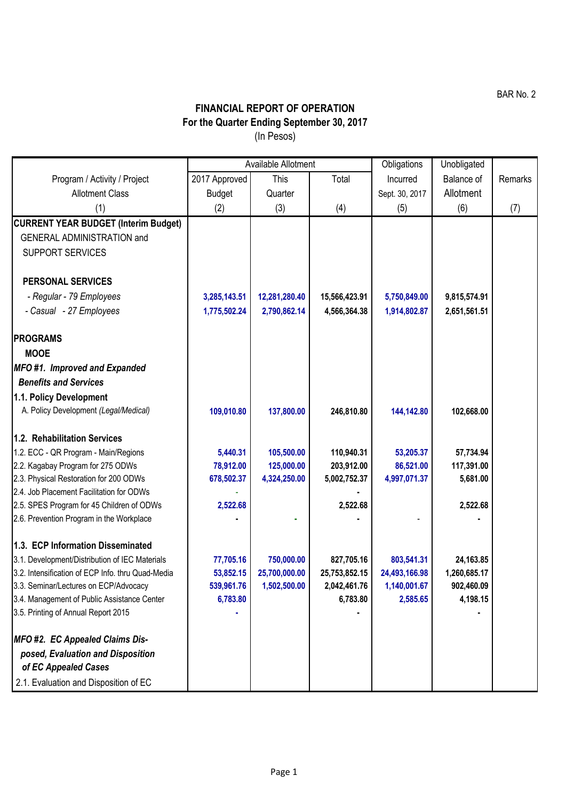BAR No. 2

## **FINANCIAL REPORT OF OPERATION For the Quarter Ending September 30, 2017** (In Pesos)

|                                                   | Available Allotment |               |               | Obligations    | Unobligated  |         |
|---------------------------------------------------|---------------------|---------------|---------------|----------------|--------------|---------|
| Program / Activity / Project                      | 2017 Approved       | This          | Total         | Incurred       | Balance of   | Remarks |
| <b>Allotment Class</b>                            | <b>Budget</b>       | Quarter       |               | Sept. 30, 2017 | Allotment    |         |
| (1)                                               | (2)                 | (3)           | (4)           | (5)            | (6)          | (7)     |
| <b>CURRENT YEAR BUDGET (Interim Budget)</b>       |                     |               |               |                |              |         |
| <b>GENERAL ADMINISTRATION and</b>                 |                     |               |               |                |              |         |
| <b>SUPPORT SERVICES</b>                           |                     |               |               |                |              |         |
|                                                   |                     |               |               |                |              |         |
| <b>PERSONAL SERVICES</b>                          |                     |               |               |                |              |         |
| - Regular - 79 Employees                          | 3,285,143.51        | 12,281,280.40 | 15,566,423.91 | 5,750,849.00   | 9,815,574.91 |         |
| - Casual - 27 Employees                           | 1,775,502.24        | 2,790,862.14  | 4,566,364.38  | 1,914,802.87   | 2,651,561.51 |         |
|                                                   |                     |               |               |                |              |         |
| <b>PROGRAMS</b>                                   |                     |               |               |                |              |         |
| <b>MOOE</b>                                       |                     |               |               |                |              |         |
| <b>MFO #1. Improved and Expanded</b>              |                     |               |               |                |              |         |
| <b>Benefits and Services</b>                      |                     |               |               |                |              |         |
| 1.1. Policy Development                           |                     |               |               |                |              |         |
| A. Policy Development (Legal/Medical)             | 109,010.80          | 137,800.00    | 246,810.80    | 144,142.80     | 102,668.00   |         |
|                                                   |                     |               |               |                |              |         |
| 1.2. Rehabilitation Services                      |                     |               |               |                |              |         |
| 1.2. ECC - QR Program - Main/Regions              | 5,440.31            | 105,500.00    | 110,940.31    | 53,205.37      | 57,734.94    |         |
| 2.2. Kagabay Program for 275 ODWs                 | 78,912.00           | 125,000.00    | 203,912.00    | 86,521.00      | 117,391.00   |         |
| 2.3. Physical Restoration for 200 ODWs            | 678,502.37          | 4,324,250.00  | 5,002,752.37  | 4,997,071.37   | 5,681.00     |         |
| 2.4. Job Placement Facilitation for ODWs          |                     |               |               |                |              |         |
| 2.5. SPES Program for 45 Children of ODWs         | 2,522.68            |               | 2,522.68      |                | 2,522.68     |         |
| 2.6. Prevention Program in the Workplace          |                     |               |               |                |              |         |
| 1.3. ECP Information Disseminated                 |                     |               |               |                |              |         |
| 3.1. Development/Distribution of IEC Materials    | 77,705.16           | 750,000.00    | 827,705.16    | 803,541.31     | 24,163.85    |         |
| 3.2. Intensification of ECP Info. thru Quad-Media | 53,852.15           | 25,700,000.00 | 25,753,852.15 | 24,493,166.98  | 1,260,685.17 |         |
| 3.3. Seminar/Lectures on ECP/Advocacy             | 539,961.76          | 1,502,500.00  | 2,042,461.76  | 1,140,001.67   | 902,460.09   |         |
| 3.4. Management of Public Assistance Center       | 6,783.80            |               | 6,783.80      | 2,585.65       | 4,198.15     |         |
| 3.5. Printing of Annual Report 2015               |                     |               |               |                |              |         |
|                                                   |                     |               |               |                |              |         |
| <b>MFO #2. EC Appealed Claims Dis-</b>            |                     |               |               |                |              |         |
| posed, Evaluation and Disposition                 |                     |               |               |                |              |         |
| of EC Appealed Cases                              |                     |               |               |                |              |         |
| 2.1. Evaluation and Disposition of EC             |                     |               |               |                |              |         |